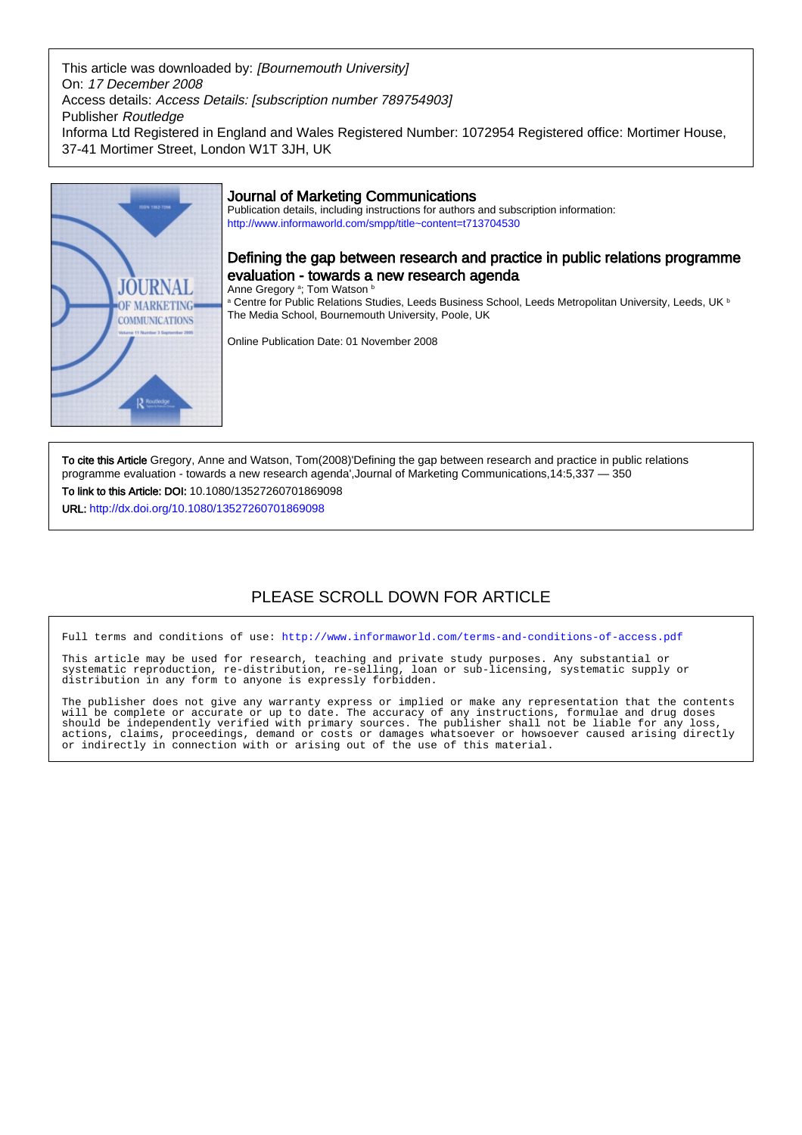This article was downloaded by: [Bournemouth University] On: 17 December 2008 Access details: Access Details: [subscription number 789754903] Publisher Routledge Informa Ltd Registered in England and Wales Registered Number: 1072954 Registered office: Mortimer House, 37-41 Mortimer Street, London W1T 3JH, UK



To cite this Article Gregory, Anne and Watson, Tom(2008)'Defining the gap between research and practice in public relations programme evaluation - towards a new research agenda',Journal of Marketing Communications,14:5,337 — 350

To link to this Article: DOI: 10.1080/13527260701869098

URL: <http://dx.doi.org/10.1080/13527260701869098>

# PLEASE SCROLL DOWN FOR ARTICLE

Full terms and conditions of use:<http://www.informaworld.com/terms-and-conditions-of-access.pdf>

This article may be used for research, teaching and private study purposes. Any substantial or systematic reproduction, re-distribution, re-selling, loan or sub-licensing, systematic supply or distribution in any form to anyone is expressly forbidden.

The publisher does not give any warranty express or implied or make any representation that the contents will be complete or accurate or up to date. The accuracy of any instructions, formulae and drug doses should be independently verified with primary sources. The publisher shall not be liable for any loss, actions, claims, proceedings, demand or costs or damages whatsoever or howsoever caused arising directly or indirectly in connection with or arising out of the use of this material.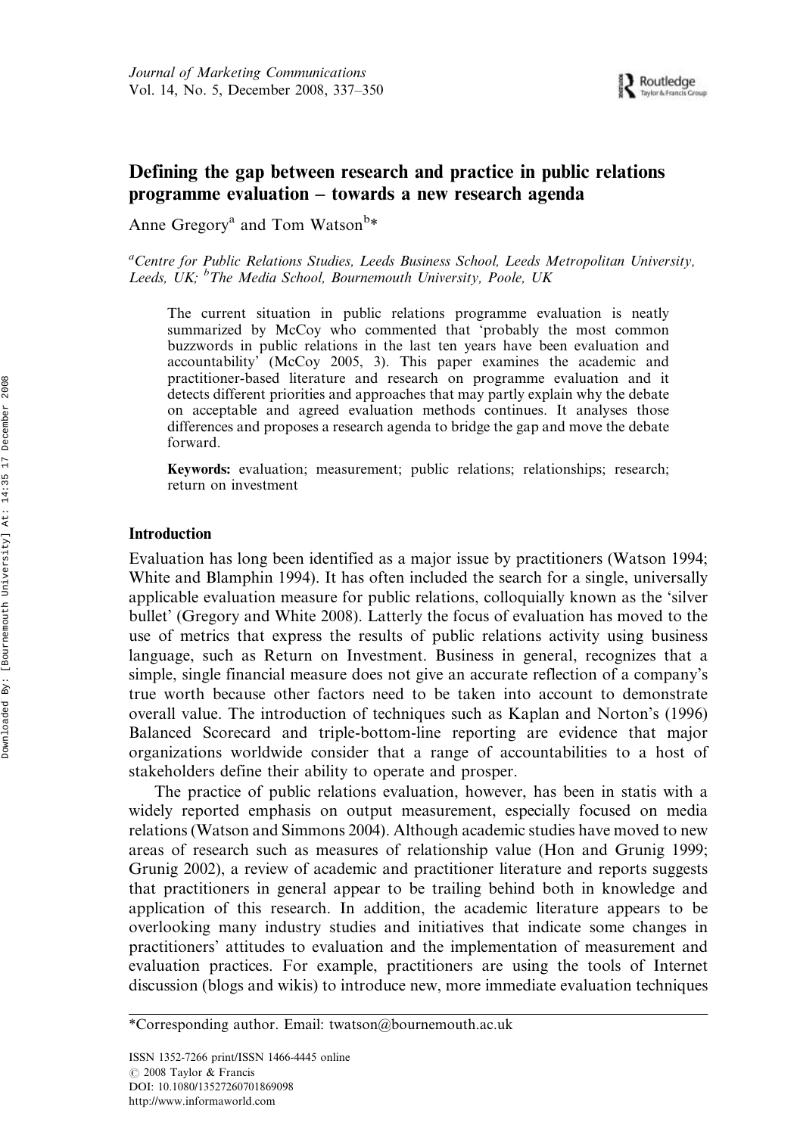## Defining the gap between research and practice in public relations programme evaluation – towards a new research agenda

Anne Gregory<sup>a</sup> and Tom Watson<sup>b\*</sup>

<sup>a</sup>Centre for Public Relations Studies, Leeds Business School, Leeds Metropolitan University, Leeds, UK; <sup>b</sup>The Media School, Bournemouth University, Poole, UK

The current situation in public relations programme evaluation is neatly summarized by McCoy who commented that 'probably the most common buzzwords in public relations in the last ten years have been evaluation and accountability' (McCoy 2005, 3). This paper examines the academic and practitioner-based literature and research on programme evaluation and it detects different priorities and approaches that may partly explain why the debate on acceptable and agreed evaluation methods continues. It analyses those differences and proposes a research agenda to bridge the gap and move the debate forward.

Keywords: evaluation; measurement; public relations; relationships; research; return on investment

## Introduction

Evaluation has long been identified as a major issue by practitioners (Watson 1994; White and Blamphin 1994). It has often included the search for a single, universally applicable evaluation measure for public relations, colloquially known as the 'silver bullet' (Gregory and White 2008). Latterly the focus of evaluation has moved to the use of metrics that express the results of public relations activity using business language, such as Return on Investment. Business in general, recognizes that a simple, single financial measure does not give an accurate reflection of a company's true worth because other factors need to be taken into account to demonstrate overall value. The introduction of techniques such as Kaplan and Norton's (1996) Balanced Scorecard and triple-bottom-line reporting are evidence that major organizations worldwide consider that a range of accountabilities to a host of stakeholders define their ability to operate and prosper.

The practice of public relations evaluation, however, has been in statis with a widely reported emphasis on output measurement, especially focused on media relations (Watson and Simmons 2004). Although academic studies have moved to new areas of research such as measures of relationship value (Hon and Grunig 1999; Grunig 2002), a review of academic and practitioner literature and reports suggests that practitioners in general appear to be trailing behind both in knowledge and application of this research. In addition, the academic literature appears to be overlooking many industry studies and initiatives that indicate some changes in practitioners' attitudes to evaluation and the implementation of measurement and evaluation practices. For example, practitioners are using the tools of Internet discussion (blogs and wikis) to introduce new, more immediate evaluation techniques

<sup>\*</sup>Corresponding author. Email: twatson@bournemouth.ac.uk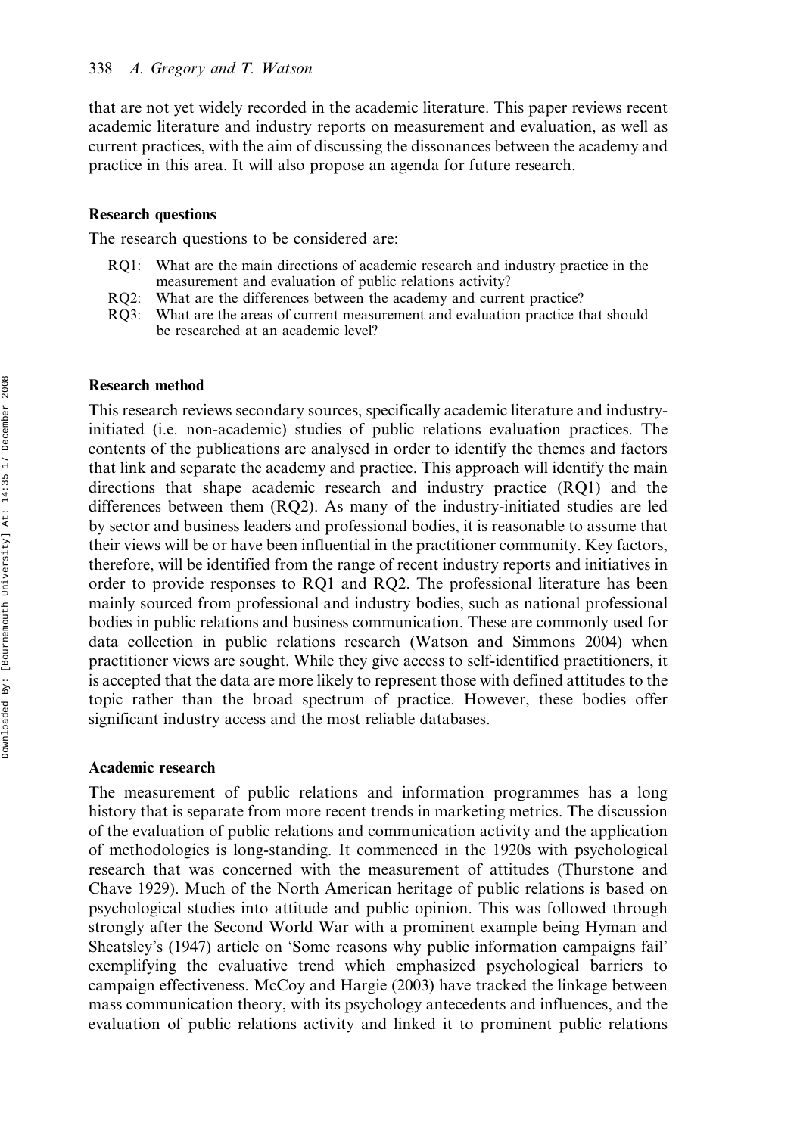that are not yet widely recorded in the academic literature. This paper reviews recent academic literature and industry reports on measurement and evaluation, as well as current practices, with the aim of discussing the dissonances between the academy and practice in this area. It will also propose an agenda for future research.

#### Research questions

The research questions to be considered are:

- RQ1: What are the main directions of academic research and industry practice in the measurement and evaluation of public relations activity?
- RQ2: What are the differences between the academy and current practice?
- RQ3: What are the areas of current measurement and evaluation practice that should be researched at an academic level?

#### Research method

This research reviews secondary sources, specifically academic literature and industryinitiated (i.e. non-academic) studies of public relations evaluation practices. The contents of the publications are analysed in order to identify the themes and factors that link and separate the academy and practice. This approach will identify the main directions that shape academic research and industry practice (RQ1) and the differences between them (RQ2). As many of the industry-initiated studies are led by sector and business leaders and professional bodies, it is reasonable to assume that their views will be or have been influential in the practitioner community. Key factors, therefore, will be identified from the range of recent industry reports and initiatives in order to provide responses to RQ1 and RQ2. The professional literature has been mainly sourced from professional and industry bodies, such as national professional bodies in public relations and business communication. These are commonly used for data collection in public relations research (Watson and Simmons 2004) when practitioner views are sought. While they give access to self-identified practitioners, it is accepted that the data are more likely to represent those with defined attitudes to the topic rather than the broad spectrum of practice. However, these bodies offer significant industry access and the most reliable databases.

#### Academic research

The measurement of public relations and information programmes has a long history that is separate from more recent trends in marketing metrics. The discussion of the evaluation of public relations and communication activity and the application of methodologies is long-standing. It commenced in the 1920s with psychological research that was concerned with the measurement of attitudes (Thurstone and Chave 1929). Much of the North American heritage of public relations is based on psychological studies into attitude and public opinion. This was followed through strongly after the Second World War with a prominent example being Hyman and Sheatsley's (1947) article on 'Some reasons why public information campaigns fail' exemplifying the evaluative trend which emphasized psychological barriers to campaign effectiveness. McCoy and Hargie (2003) have tracked the linkage between mass communication theory, with its psychology antecedents and influences, and the evaluation of public relations activity and linked it to prominent public relations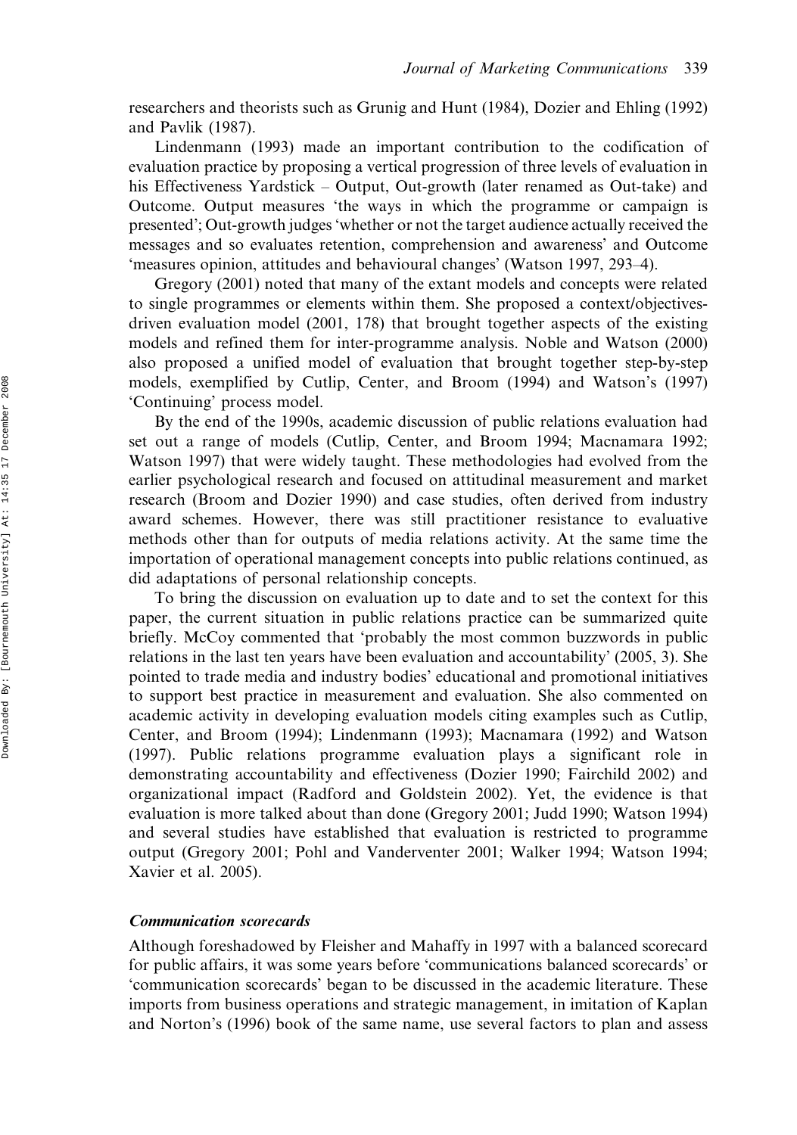researchers and theorists such as Grunig and Hunt (1984), Dozier and Ehling (1992) and Pavlik (1987).

Lindenmann (1993) made an important contribution to the codification of evaluation practice by proposing a vertical progression of three levels of evaluation in his Effectiveness Yardstick – Output, Out-growth (later renamed as Out-take) and Outcome. Output measures 'the ways in which the programme or campaign is presented'; Out-growth judges 'whether or not the target audience actually received the messages and so evaluates retention, comprehension and awareness' and Outcome 'measures opinion, attitudes and behavioural changes' (Watson 1997, 293–4).

Gregory (2001) noted that many of the extant models and concepts were related to single programmes or elements within them. She proposed a context/objectivesdriven evaluation model (2001, 178) that brought together aspects of the existing models and refined them for inter-programme analysis. Noble and Watson (2000) also proposed a unified model of evaluation that brought together step-by-step models, exemplified by Cutlip, Center, and Broom (1994) and Watson's (1997) 'Continuing' process model.

By the end of the 1990s, academic discussion of public relations evaluation had set out a range of models (Cutlip, Center, and Broom 1994; Macnamara 1992; Watson 1997) that were widely taught. These methodologies had evolved from the earlier psychological research and focused on attitudinal measurement and market research (Broom and Dozier 1990) and case studies, often derived from industry award schemes. However, there was still practitioner resistance to evaluative methods other than for outputs of media relations activity. At the same time the importation of operational management concepts into public relations continued, as did adaptations of personal relationship concepts.

To bring the discussion on evaluation up to date and to set the context for this paper, the current situation in public relations practice can be summarized quite briefly. McCoy commented that 'probably the most common buzzwords in public relations in the last ten years have been evaluation and accountability' (2005, 3). She pointed to trade media and industry bodies' educational and promotional initiatives to support best practice in measurement and evaluation. She also commented on academic activity in developing evaluation models citing examples such as Cutlip, Center, and Broom (1994); Lindenmann (1993); Macnamara (1992) and Watson (1997). Public relations programme evaluation plays a significant role in demonstrating accountability and effectiveness (Dozier 1990; Fairchild 2002) and organizational impact (Radford and Goldstein 2002). Yet, the evidence is that evaluation is more talked about than done (Gregory 2001; Judd 1990; Watson 1994) and several studies have established that evaluation is restricted to programme output (Gregory 2001; Pohl and Vanderventer 2001; Walker 1994; Watson 1994; Xavier et al. 2005).

#### Communication scorecards

Although foreshadowed by Fleisher and Mahaffy in 1997 with a balanced scorecard for public affairs, it was some years before 'communications balanced scorecards' or 'communication scorecards' began to be discussed in the academic literature. These imports from business operations and strategic management, in imitation of Kaplan and Norton's (1996) book of the same name, use several factors to plan and assess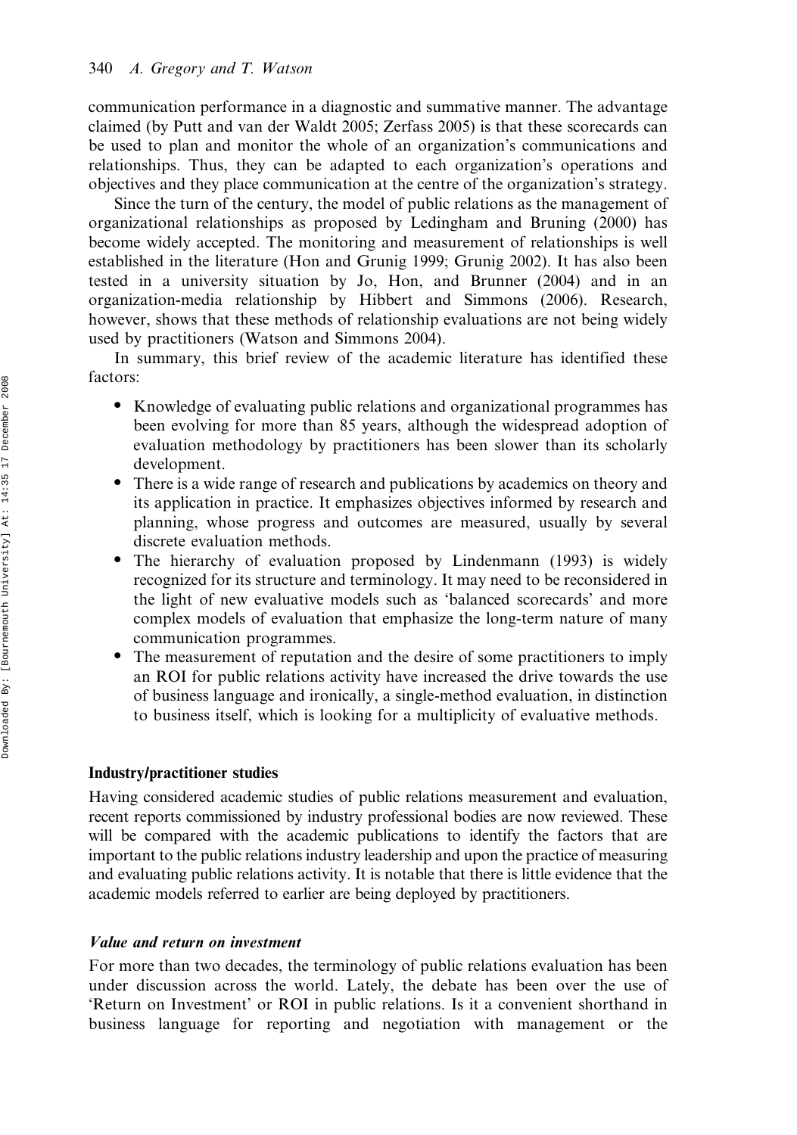communication performance in a diagnostic and summative manner. The advantage claimed (by Putt and van der Waldt 2005; Zerfass 2005) is that these scorecards can be used to plan and monitor the whole of an organization's communications and relationships. Thus, they can be adapted to each organization's operations and objectives and they place communication at the centre of the organization's strategy.

Since the turn of the century, the model of public relations as the management of organizational relationships as proposed by Ledingham and Bruning (2000) has become widely accepted. The monitoring and measurement of relationships is well established in the literature (Hon and Grunig 1999; Grunig 2002). It has also been tested in a university situation by Jo, Hon, and Brunner (2004) and in an organization-media relationship by Hibbert and Simmons (2006). Research, however, shows that these methods of relationship evaluations are not being widely used by practitioners (Watson and Simmons 2004).

In summary, this brief review of the academic literature has identified these factors:

- Knowledge of evaluating public relations and organizational programmes has been evolving for more than 85 years, although the widespread adoption of evaluation methodology by practitioners has been slower than its scholarly development.
- There is a wide range of research and publications by academics on theory and its application in practice. It emphasizes objectives informed by research and planning, whose progress and outcomes are measured, usually by several discrete evaluation methods.
- The hierarchy of evaluation proposed by Lindenmann (1993) is widely recognized for its structure and terminology. It may need to be reconsidered in the light of new evaluative models such as 'balanced scorecards' and more complex models of evaluation that emphasize the long-term nature of many communication programmes.
- The measurement of reputation and the desire of some practitioners to imply an ROI for public relations activity have increased the drive towards the use of business language and ironically, a single-method evaluation, in distinction to business itself, which is looking for a multiplicity of evaluative methods.

#### Industry/practitioner studies

Having considered academic studies of public relations measurement and evaluation, recent reports commissioned by industry professional bodies are now reviewed. These will be compared with the academic publications to identify the factors that are important to the public relations industry leadership and upon the practice of measuring and evaluating public relations activity. It is notable that there is little evidence that the academic models referred to earlier are being deployed by practitioners.

## Value and return on investment

For more than two decades, the terminology of public relations evaluation has been under discussion across the world. Lately, the debate has been over the use of 'Return on Investment' or ROI in public relations. Is it a convenient shorthand in business language for reporting and negotiation with management or the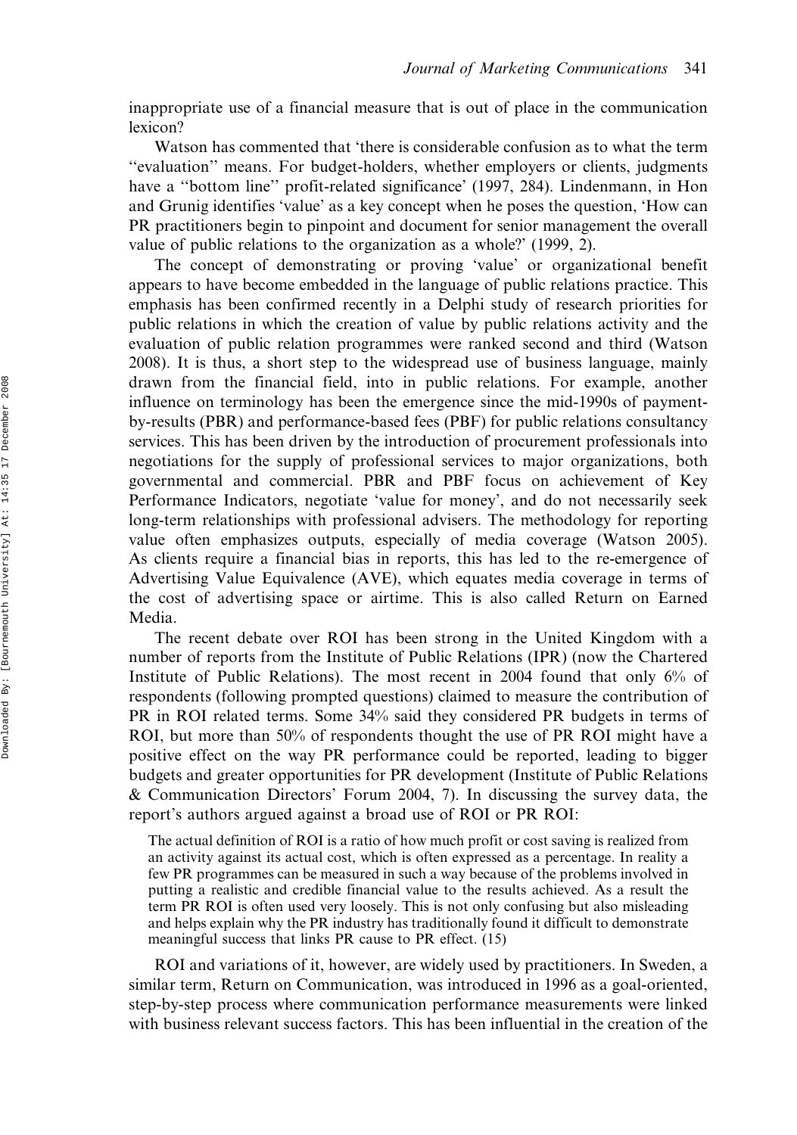inappropriate use of a financial measure that is out of place in the communication lexicon?

Watson has commented that 'there is considerable confusion as to what the term ''evaluation'' means. For budget-holders, whether employers or clients, judgments have a ''bottom line'' profit-related significance' (1997, 284). Lindenmann, in Hon and Grunig identifies 'value' as a key concept when he poses the question, 'How can PR practitioners begin to pinpoint and document for senior management the overall value of public relations to the organization as a whole?' (1999, 2).

The concept of demonstrating or proving 'value' or organizational benefit appears to have become embedded in the language of public relations practice. This emphasis has been confirmed recently in a Delphi study of research priorities for public relations in which the creation of value by public relations activity and the evaluation of public relation programmes were ranked second and third (Watson 2008). It is thus, a short step to the widespread use of business language, mainly drawn from the financial field, into in public relations. For example, another influence on terminology has been the emergence since the mid-1990s of paymentby-results (PBR) and performance-based fees (PBF) for public relations consultancy services. This has been driven by the introduction of procurement professionals into negotiations for the supply of professional services to major organizations, both governmental and commercial. PBR and PBF focus on achievement of Key Performance Indicators, negotiate 'value for money', and do not necessarily seek long-term relationships with professional advisers. The methodology for reporting value often emphasizes outputs, especially of media coverage (Watson 2005). As clients require a financial bias in reports, this has led to the re-emergence of Advertising Value Equivalence (AVE), which equates media coverage in terms of the cost of advertising space or airtime. This is also called Return on Earned Media.

The recent debate over ROI has been strong in the United Kingdom with a number of reports from the Institute of Public Relations (IPR) (now the Chartered Institute of Public Relations). The most recent in 2004 found that only 6% of respondents (following prompted questions) claimed to measure the contribution of PR in ROI related terms. Some 34% said they considered PR budgets in terms of ROI, but more than 50% of respondents thought the use of PR ROI might have a positive effect on the way PR performance could be reported, leading to bigger budgets and greater opportunities for PR development (Institute of Public Relations & Communication Directors' Forum 2004, 7). In discussing the survey data, the report's authors argued against a broad use of ROI or PR ROI:

The actual definition of ROI is a ratio of how much profit or cost saving is realized from an activity against its actual cost, which is often expressed as a percentage. In reality a few PR programmes can be measured in such a way because of the problems involved in putting a realistic and credible financial value to the results achieved. As a result the term PR ROI is often used very loosely. This is not only confusing but also misleading and helps explain why the PR industry has traditionally found it difficult to demonstrate meaningful success that links PR cause to PR effect. (15)

ROI and variations of it, however, are widely used by practitioners. In Sweden, a similar term, Return on Communication, was introduced in 1996 as a goal-oriented, step-by-step process where communication performance measurements were linked with business relevant success factors. This has been influential in the creation of the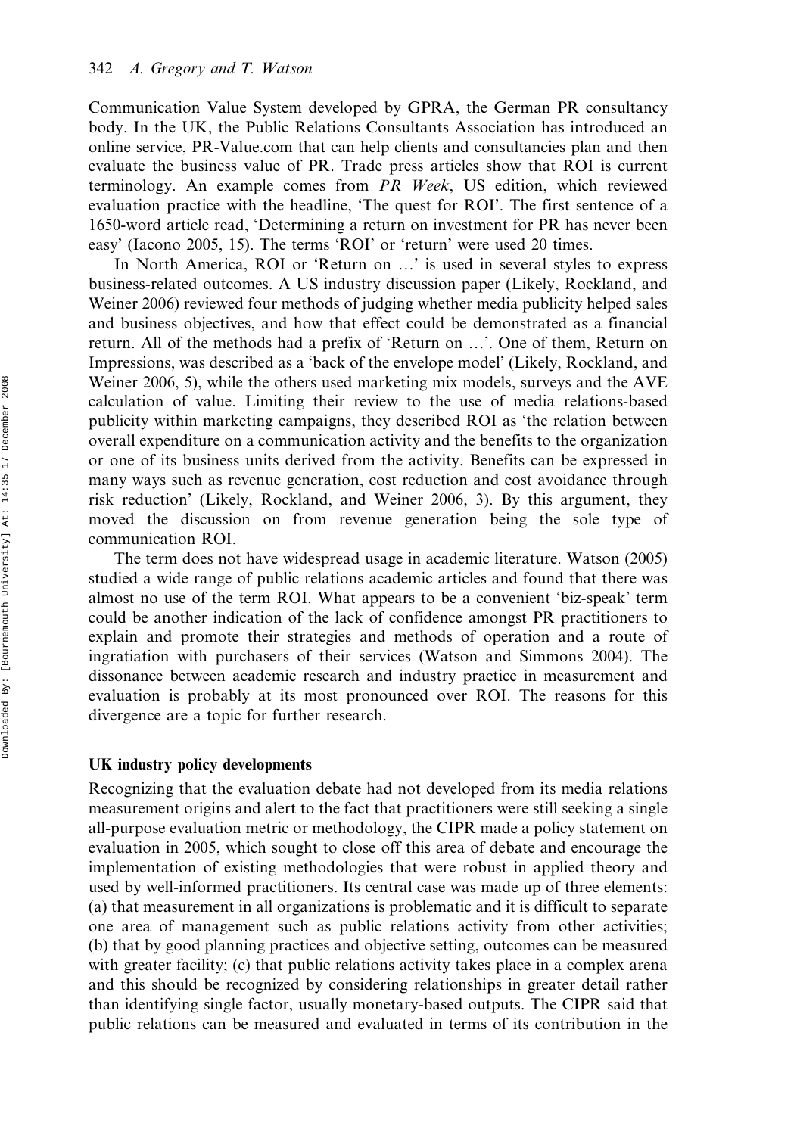Communication Value System developed by GPRA, the German PR consultancy body. In the UK, the Public Relations Consultants Association has introduced an online service, PR-Value.com that can help clients and consultancies plan and then evaluate the business value of PR. Trade press articles show that ROI is current terminology. An example comes from PR Week, US edition, which reviewed evaluation practice with the headline, 'The quest for ROI'. The first sentence of a 1650-word article read, 'Determining a return on investment for PR has never been easy' (Iacono 2005, 15). The terms 'ROI' or 'return' were used 20 times.

In North America, ROI or 'Return on …' is used in several styles to express business-related outcomes. A US industry discussion paper (Likely, Rockland, and Weiner 2006) reviewed four methods of judging whether media publicity helped sales and business objectives, and how that effect could be demonstrated as a financial return. All of the methods had a prefix of 'Return on …'. One of them, Return on Impressions, was described as a 'back of the envelope model' (Likely, Rockland, and Weiner 2006, 5), while the others used marketing mix models, surveys and the AVE calculation of value. Limiting their review to the use of media relations-based publicity within marketing campaigns, they described ROI as 'the relation between overall expenditure on a communication activity and the benefits to the organization or one of its business units derived from the activity. Benefits can be expressed in many ways such as revenue generation, cost reduction and cost avoidance through risk reduction' (Likely, Rockland, and Weiner 2006, 3). By this argument, they moved the discussion on from revenue generation being the sole type of communication ROI.

The term does not have widespread usage in academic literature. Watson (2005) studied a wide range of public relations academic articles and found that there was almost no use of the term ROI. What appears to be a convenient 'biz-speak' term could be another indication of the lack of confidence amongst PR practitioners to explain and promote their strategies and methods of operation and a route of ingratiation with purchasers of their services (Watson and Simmons 2004). The dissonance between academic research and industry practice in measurement and evaluation is probably at its most pronounced over ROI. The reasons for this divergence are a topic for further research.

## UK industry policy developments

Recognizing that the evaluation debate had not developed from its media relations measurement origins and alert to the fact that practitioners were still seeking a single all-purpose evaluation metric or methodology, the CIPR made a policy statement on evaluation in 2005, which sought to close off this area of debate and encourage the implementation of existing methodologies that were robust in applied theory and used by well-informed practitioners. Its central case was made up of three elements: (a) that measurement in all organizations is problematic and it is difficult to separate one area of management such as public relations activity from other activities; (b) that by good planning practices and objective setting, outcomes can be measured with greater facility; (c) that public relations activity takes place in a complex arena and this should be recognized by considering relationships in greater detail rather than identifying single factor, usually monetary-based outputs. The CIPR said that public relations can be measured and evaluated in terms of its contribution in the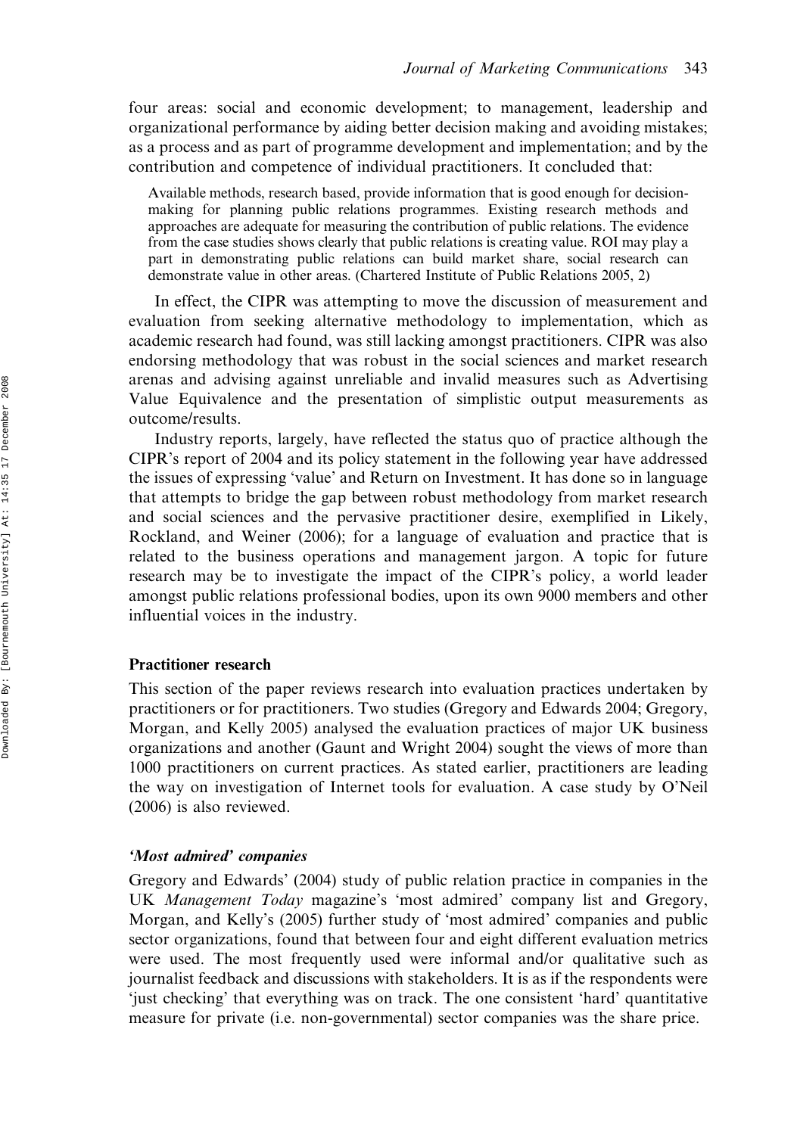four areas: social and economic development; to management, leadership and organizational performance by aiding better decision making and avoiding mistakes; as a process and as part of programme development and implementation; and by the contribution and competence of individual practitioners. It concluded that:

Available methods, research based, provide information that is good enough for decisionmaking for planning public relations programmes. Existing research methods and approaches are adequate for measuring the contribution of public relations. The evidence from the case studies shows clearly that public relations is creating value. ROI may play a part in demonstrating public relations can build market share, social research can demonstrate value in other areas. (Chartered Institute of Public Relations 2005, 2)

In effect, the CIPR was attempting to move the discussion of measurement and evaluation from seeking alternative methodology to implementation, which as academic research had found, was still lacking amongst practitioners. CIPR was also endorsing methodology that was robust in the social sciences and market research arenas and advising against unreliable and invalid measures such as Advertising Value Equivalence and the presentation of simplistic output measurements as outcome/results.

Industry reports, largely, have reflected the status quo of practice although the CIPR's report of 2004 and its policy statement in the following year have addressed the issues of expressing 'value' and Return on Investment. It has done so in language that attempts to bridge the gap between robust methodology from market research and social sciences and the pervasive practitioner desire, exemplified in Likely, Rockland, and Weiner (2006); for a language of evaluation and practice that is related to the business operations and management jargon. A topic for future research may be to investigate the impact of the CIPR's policy, a world leader amongst public relations professional bodies, upon its own 9000 members and other influential voices in the industry.

## Practitioner research

This section of the paper reviews research into evaluation practices undertaken by practitioners or for practitioners. Two studies (Gregory and Edwards 2004; Gregory, Morgan, and Kelly 2005) analysed the evaluation practices of major UK business organizations and another (Gaunt and Wright 2004) sought the views of more than 1000 practitioners on current practices. As stated earlier, practitioners are leading the way on investigation of Internet tools for evaluation. A case study by O'Neil (2006) is also reviewed.

## 'Most admired' companies

Gregory and Edwards' (2004) study of public relation practice in companies in the UK Management Today magazine's 'most admired' company list and Gregory, Morgan, and Kelly's (2005) further study of 'most admired' companies and public sector organizations, found that between four and eight different evaluation metrics were used. The most frequently used were informal and/or qualitative such as journalist feedback and discussions with stakeholders. It is as if the respondents were 'just checking' that everything was on track. The one consistent 'hard' quantitative measure for private (i.e. non-governmental) sector companies was the share price.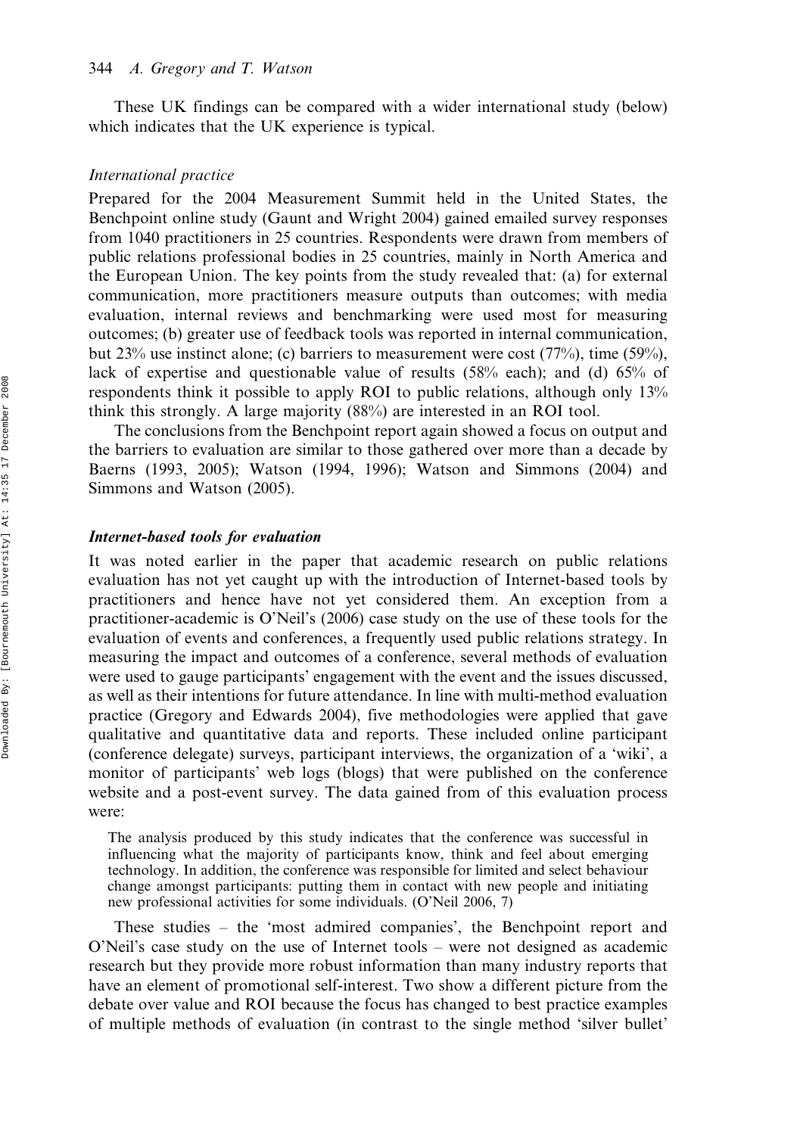These UK findings can be compared with a wider international study (below) which indicates that the UK experience is typical.

## International practice

Prepared for the 2004 Measurement Summit held in the United States, the Benchpoint online study (Gaunt and Wright 2004) gained emailed survey responses from 1040 practitioners in 25 countries. Respondents were drawn from members of public relations professional bodies in 25 countries, mainly in North America and the European Union. The key points from the study revealed that: (a) for external communication, more practitioners measure outputs than outcomes; with media evaluation, internal reviews and benchmarking were used most for measuring outcomes; (b) greater use of feedback tools was reported in internal communication, but 23% use instinct alone; (c) barriers to measurement were cost (77%), time (59%), lack of expertise and questionable value of results (58% each); and (d) 65% of respondents think it possible to apply ROI to public relations, although only 13% think this strongly. A large majority (88%) are interested in an ROI tool.

The conclusions from the Benchpoint report again showed a focus on output and the barriers to evaluation are similar to those gathered over more than a decade by Baerns (1993, 2005); Watson (1994, 1996); Watson and Simmons (2004) and Simmons and Watson (2005).

#### Internet-based tools for evaluation

It was noted earlier in the paper that academic research on public relations evaluation has not yet caught up with the introduction of Internet-based tools by practitioners and hence have not yet considered them. An exception from a practitioner-academic is O'Neil's (2006) case study on the use of these tools for the evaluation of events and conferences, a frequently used public relations strategy. In measuring the impact and outcomes of a conference, several methods of evaluation were used to gauge participants' engagement with the event and the issues discussed, as well as their intentions for future attendance. In line with multi-method evaluation practice (Gregory and Edwards 2004), five methodologies were applied that gave qualitative and quantitative data and reports. These included online participant (conference delegate) surveys, participant interviews, the organization of a 'wiki', a monitor of participants' web logs (blogs) that were published on the conference website and a post-event survey. The data gained from of this evaluation process were:

The analysis produced by this study indicates that the conference was successful in influencing what the majority of participants know, think and feel about emerging technology. In addition, the conference was responsible for limited and select behaviour change amongst participants: putting them in contact with new people and initiating new professional activities for some individuals. (O'Neil 2006, 7)

These studies – the 'most admired companies', the Benchpoint report and O'Neil's case study on the use of Internet tools – were not designed as academic research but they provide more robust information than many industry reports that have an element of promotional self-interest. Two show a different picture from the debate over value and ROI because the focus has changed to best practice examples of multiple methods of evaluation (in contrast to the single method 'silver bullet'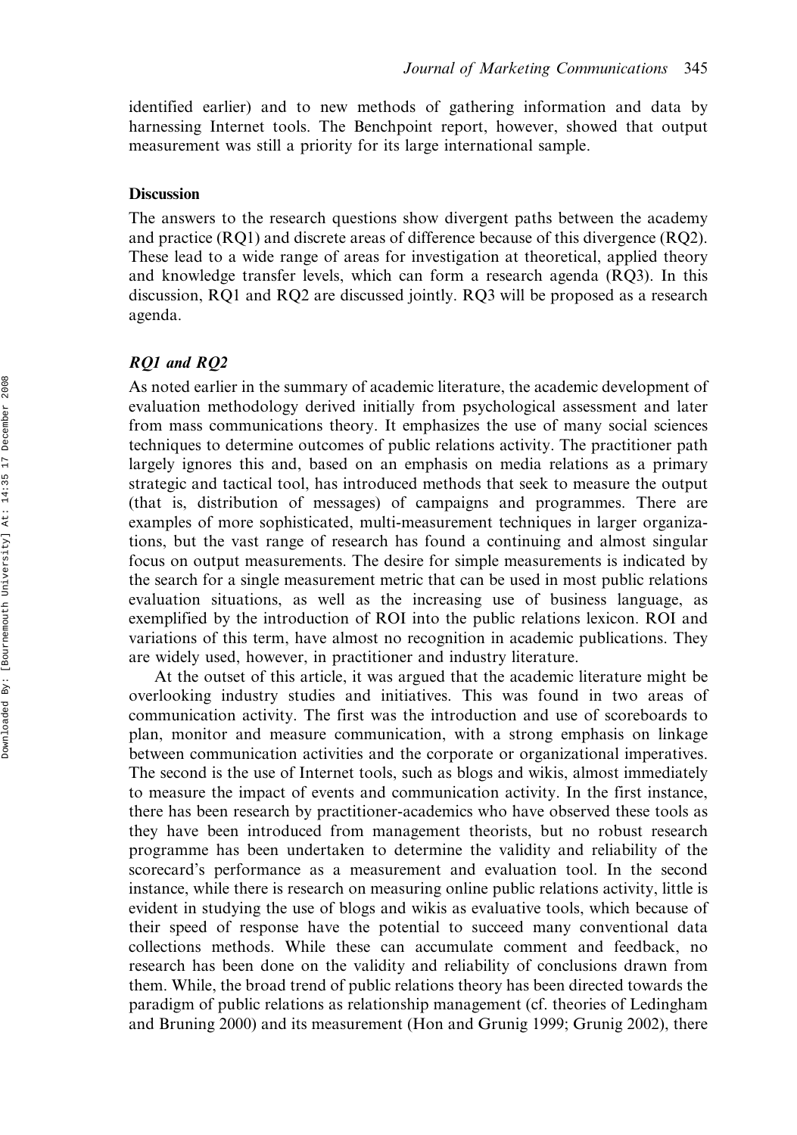identified earlier) and to new methods of gathering information and data by harnessing Internet tools. The Benchpoint report, however, showed that output measurement was still a priority for its large international sample.

## **Discussion**

The answers to the research questions show divergent paths between the academy and practice (RQ1) and discrete areas of difference because of this divergence (RQ2). These lead to a wide range of areas for investigation at theoretical, applied theory and knowledge transfer levels, which can form a research agenda (RQ3). In this discussion, RQ1 and RQ2 are discussed jointly. RQ3 will be proposed as a research agenda.

## RQ1 and RQ2

As noted earlier in the summary of academic literature, the academic development of evaluation methodology derived initially from psychological assessment and later from mass communications theory. It emphasizes the use of many social sciences techniques to determine outcomes of public relations activity. The practitioner path largely ignores this and, based on an emphasis on media relations as a primary strategic and tactical tool, has introduced methods that seek to measure the output (that is, distribution of messages) of campaigns and programmes. There are examples of more sophisticated, multi-measurement techniques in larger organizations, but the vast range of research has found a continuing and almost singular focus on output measurements. The desire for simple measurements is indicated by the search for a single measurement metric that can be used in most public relations evaluation situations, as well as the increasing use of business language, as exemplified by the introduction of ROI into the public relations lexicon. ROI and variations of this term, have almost no recognition in academic publications. They are widely used, however, in practitioner and industry literature.

At the outset of this article, it was argued that the academic literature might be overlooking industry studies and initiatives. This was found in two areas of communication activity. The first was the introduction and use of scoreboards to plan, monitor and measure communication, with a strong emphasis on linkage between communication activities and the corporate or organizational imperatives. The second is the use of Internet tools, such as blogs and wikis, almost immediately to measure the impact of events and communication activity. In the first instance, there has been research by practitioner-academics who have observed these tools as they have been introduced from management theorists, but no robust research programme has been undertaken to determine the validity and reliability of the scorecard's performance as a measurement and evaluation tool. In the second instance, while there is research on measuring online public relations activity, little is evident in studying the use of blogs and wikis as evaluative tools, which because of their speed of response have the potential to succeed many conventional data collections methods. While these can accumulate comment and feedback, no research has been done on the validity and reliability of conclusions drawn from them. While, the broad trend of public relations theory has been directed towards the paradigm of public relations as relationship management (cf. theories of Ledingham and Bruning 2000) and its measurement (Hon and Grunig 1999; Grunig 2002), there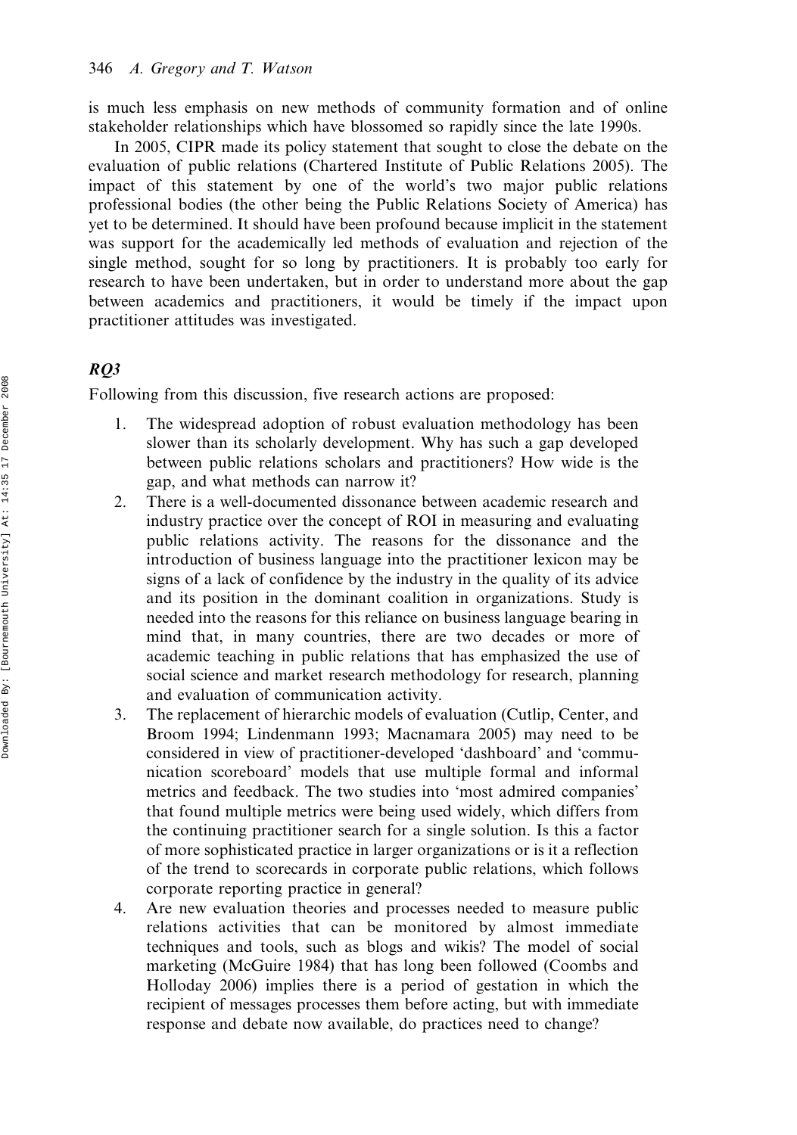is much less emphasis on new methods of community formation and of online stakeholder relationships which have blossomed so rapidly since the late 1990s.

In 2005, CIPR made its policy statement that sought to close the debate on the evaluation of public relations (Chartered Institute of Public Relations 2005). The impact of this statement by one of the world's two major public relations professional bodies (the other being the Public Relations Society of America) has yet to be determined. It should have been profound because implicit in the statement was support for the academically led methods of evaluation and rejection of the single method, sought for so long by practitioners. It is probably too early for research to have been undertaken, but in order to understand more about the gap between academics and practitioners, it would be timely if the impact upon practitioner attitudes was investigated.

## RQ3

Following from this discussion, five research actions are proposed:

- 1. The widespread adoption of robust evaluation methodology has been slower than its scholarly development. Why has such a gap developed between public relations scholars and practitioners? How wide is the gap, and what methods can narrow it?
- 2. There is a well-documented dissonance between academic research and industry practice over the concept of ROI in measuring and evaluating public relations activity. The reasons for the dissonance and the introduction of business language into the practitioner lexicon may be signs of a lack of confidence by the industry in the quality of its advice and its position in the dominant coalition in organizations. Study is needed into the reasons for this reliance on business language bearing in mind that, in many countries, there are two decades or more of academic teaching in public relations that has emphasized the use of social science and market research methodology for research, planning and evaluation of communication activity.
- 3. The replacement of hierarchic models of evaluation (Cutlip, Center, and Broom 1994; Lindenmann 1993; Macnamara 2005) may need to be considered in view of practitioner-developed 'dashboard' and 'communication scoreboard' models that use multiple formal and informal metrics and feedback. The two studies into 'most admired companies' that found multiple metrics were being used widely, which differs from the continuing practitioner search for a single solution. Is this a factor of more sophisticated practice in larger organizations or is it a reflection of the trend to scorecards in corporate public relations, which follows corporate reporting practice in general?
- 4. Are new evaluation theories and processes needed to measure public relations activities that can be monitored by almost immediate techniques and tools, such as blogs and wikis? The model of social marketing (McGuire 1984) that has long been followed (Coombs and Holloday 2006) implies there is a period of gestation in which the recipient of messages processes them before acting, but with immediate response and debate now available, do practices need to change?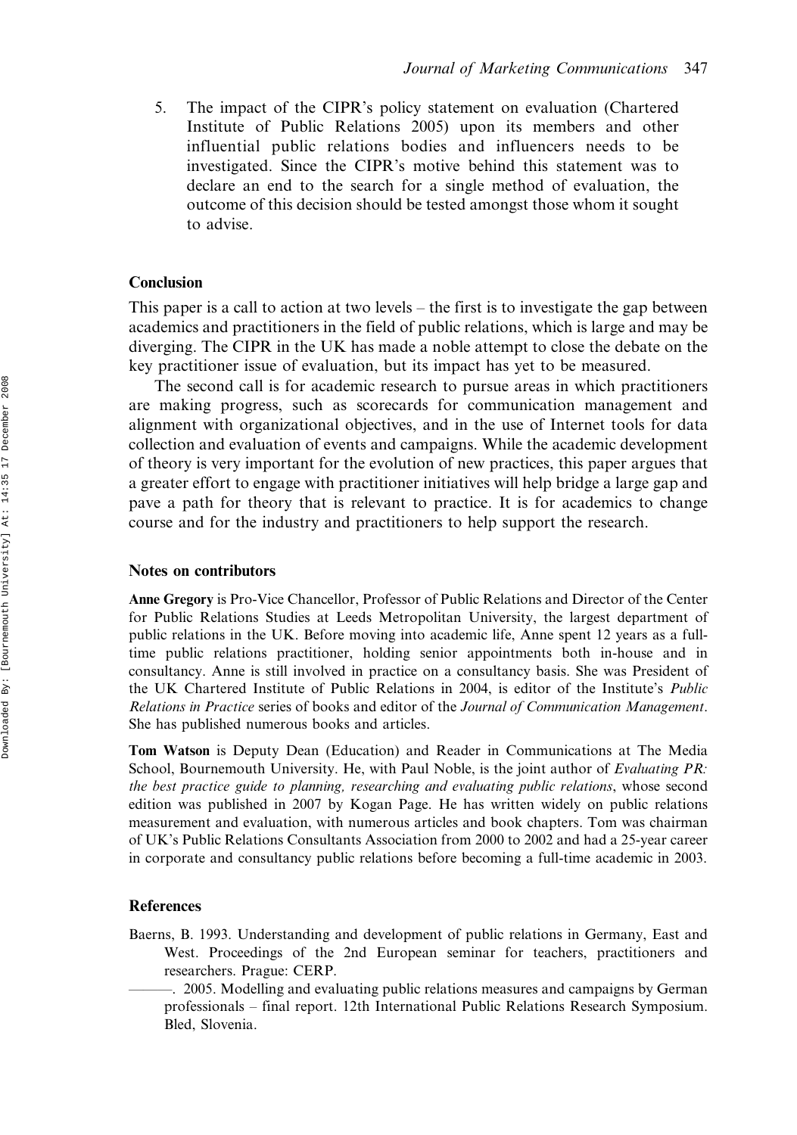5. The impact of the CIPR's policy statement on evaluation (Chartered Institute of Public Relations 2005) upon its members and other influential public relations bodies and influencers needs to be investigated. Since the CIPR's motive behind this statement was to declare an end to the search for a single method of evaluation, the outcome of this decision should be tested amongst those whom it sought to advise.

#### Conclusion

This paper is a call to action at two levels – the first is to investigate the gap between academics and practitioners in the field of public relations, which is large and may be diverging. The CIPR in the UK has made a noble attempt to close the debate on the key practitioner issue of evaluation, but its impact has yet to be measured.

The second call is for academic research to pursue areas in which practitioners are making progress, such as scorecards for communication management and alignment with organizational objectives, and in the use of Internet tools for data collection and evaluation of events and campaigns. While the academic development of theory is very important for the evolution of new practices, this paper argues that a greater effort to engage with practitioner initiatives will help bridge a large gap and pave a path for theory that is relevant to practice. It is for academics to change course and for the industry and practitioners to help support the research.

#### Notes on contributors

Anne Gregory is Pro-Vice Chancellor, Professor of Public Relations and Director of the Center for Public Relations Studies at Leeds Metropolitan University, the largest department of public relations in the UK. Before moving into academic life, Anne spent 12 years as a fulltime public relations practitioner, holding senior appointments both in-house and in consultancy. Anne is still involved in practice on a consultancy basis. She was President of the UK Chartered Institute of Public Relations in 2004, is editor of the Institute's Public Relations in Practice series of books and editor of the Journal of Communication Management. She has published numerous books and articles.

Tom Watson is Deputy Dean (Education) and Reader in Communications at The Media School, Bournemouth University. He, with Paul Noble, is the joint author of *Evaluating PR*: the best practice guide to planning, researching and evaluating public relations, whose second edition was published in 2007 by Kogan Page. He has written widely on public relations measurement and evaluation, with numerous articles and book chapters. Tom was chairman of UK's Public Relations Consultants Association from 2000 to 2002 and had a 25-year career in corporate and consultancy public relations before becoming a full-time academic in 2003.

#### **References**

- Baerns, B. 1993. Understanding and development of public relations in Germany, East and West. Proceedings of the 2nd European seminar for teachers, practitioners and researchers. Prague: CERP.
	- ———. 2005. Modelling and evaluating public relations measures and campaigns by German professionals – final report. 12th International Public Relations Research Symposium. Bled, Slovenia.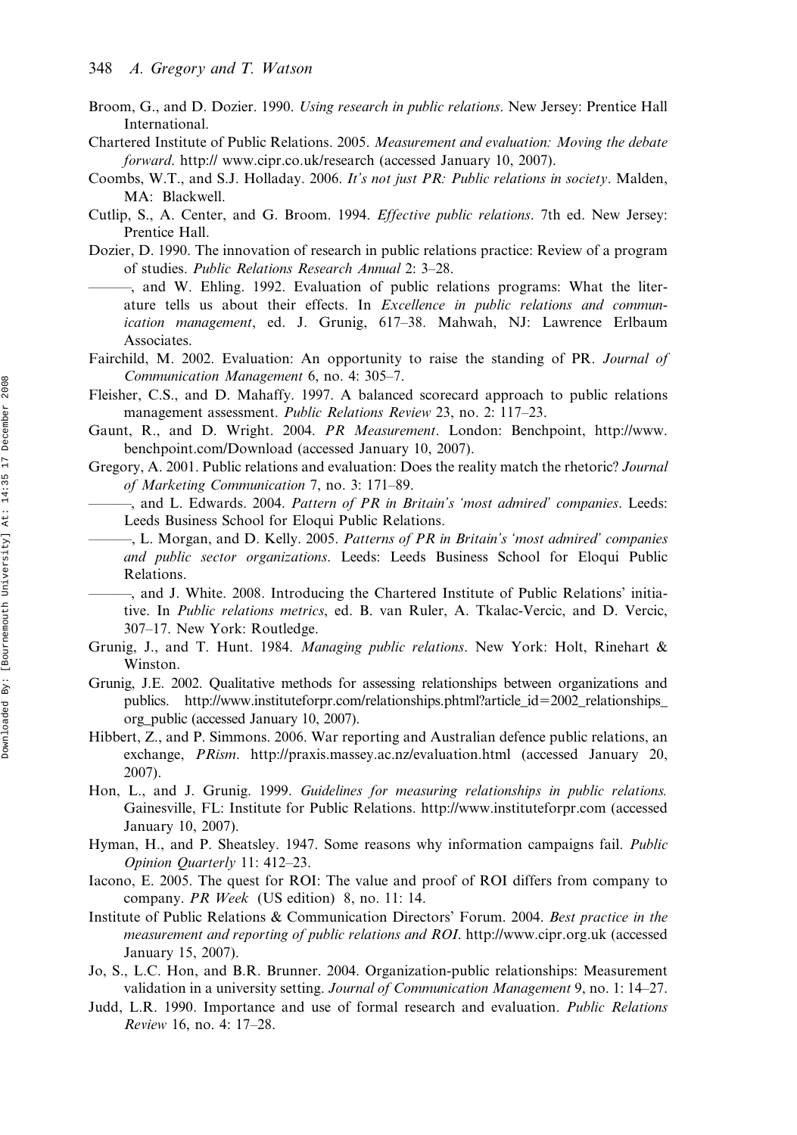- Broom, G., and D. Dozier. 1990. Using research in public relations. New Jersey: Prentice Hall International.
- Chartered Institute of Public Relations. 2005. Measurement and evaluation: Moving the debate forward. http:// www.cipr.co.uk/research (accessed January 10, 2007).
- Coombs, W.T., and S.J. Holladay. 2006. It's not just PR: Public relations in society. Malden, MA: Blackwell.
- Cutlip, S., A. Center, and G. Broom. 1994. Effective public relations. 7th ed. New Jersey: Prentice Hall.
- Dozier, D. 1990. The innovation of research in public relations practice: Review of a program of studies. Public Relations Research Annual 2: 3–28.
	- ———, and W. Ehling. 1992. Evaluation of public relations programs: What the literature tells us about their effects. In Excellence in public relations and communication management, ed. J. Grunig, 617–38. Mahwah, NJ: Lawrence Erlbaum Associates.
- Fairchild, M. 2002. Evaluation: An opportunity to raise the standing of PR. Journal of Communication Management 6, no. 4: 305–7.
- Fleisher, C.S., and D. Mahaffy. 1997. A balanced scorecard approach to public relations management assessment. Public Relations Review 23, no. 2: 117–23.
- Gaunt, R., and D. Wright. 2004. PR Measurement. London: Benchpoint, http://www. benchpoint.com/Download (accessed January 10, 2007).
- Gregory, A. 2001. Public relations and evaluation: Does the reality match the rhetoric? Journal of Marketing Communication 7, no. 3: 171–89.
	- $-$ , and L. Edwards. 2004. Pattern of PR in Britain's 'most admired' companies. Leeds: Leeds Business School for Eloqui Public Relations.
	- $-$ , L. Morgan, and D. Kelly. 2005. Patterns of PR in Britain's 'most admired' companies and public sector organizations. Leeds: Leeds Business School for Eloqui Public Relations.
	- ———, and J. White. 2008. Introducing the Chartered Institute of Public Relations' initiative. In Public relations metrics, ed. B. van Ruler, A. Tkalac-Vercic, and D. Vercic, 307–17. New York: Routledge.
- Grunig, J., and T. Hunt. 1984. Managing public relations. New York: Holt, Rinehart & Winston.
- Grunig, J.E. 2002. Qualitative methods for assessing relationships between organizations and publics. http://www.instituteforpr.com/relationships.phtml?article\_id=2002\_relationships\_ org\_public (accessed January 10, 2007).
- Hibbert, Z., and P. Simmons. 2006. War reporting and Australian defence public relations, an exchange, PRism. http://praxis.massey.ac.nz/evaluation.html (accessed January 20, 2007).
- Hon, L., and J. Grunig. 1999. Guidelines for measuring relationships in public relations. Gainesville, FL: Institute for Public Relations. http://www.instituteforpr.com (accessed January 10, 2007).
- Hyman, H., and P. Sheatsley. 1947. Some reasons why information campaigns fail. Public Opinion Quarterly 11: 412–23.
- Iacono, E. 2005. The quest for ROI: The value and proof of ROI differs from company to company. PR Week (US edition) 8, no. 11: 14.
- Institute of Public Relations & Communication Directors' Forum. 2004. Best practice in the measurement and reporting of public relations and ROI. http://www.cipr.org.uk (accessed January 15, 2007).
- Jo, S., L.C. Hon, and B.R. Brunner. 2004. Organization-public relationships: Measurement validation in a university setting. Journal of Communication Management 9, no. 1: 14–27.
- Judd, L.R. 1990. Importance and use of formal research and evaluation. Public Relations Review 16, no. 4: 17–28.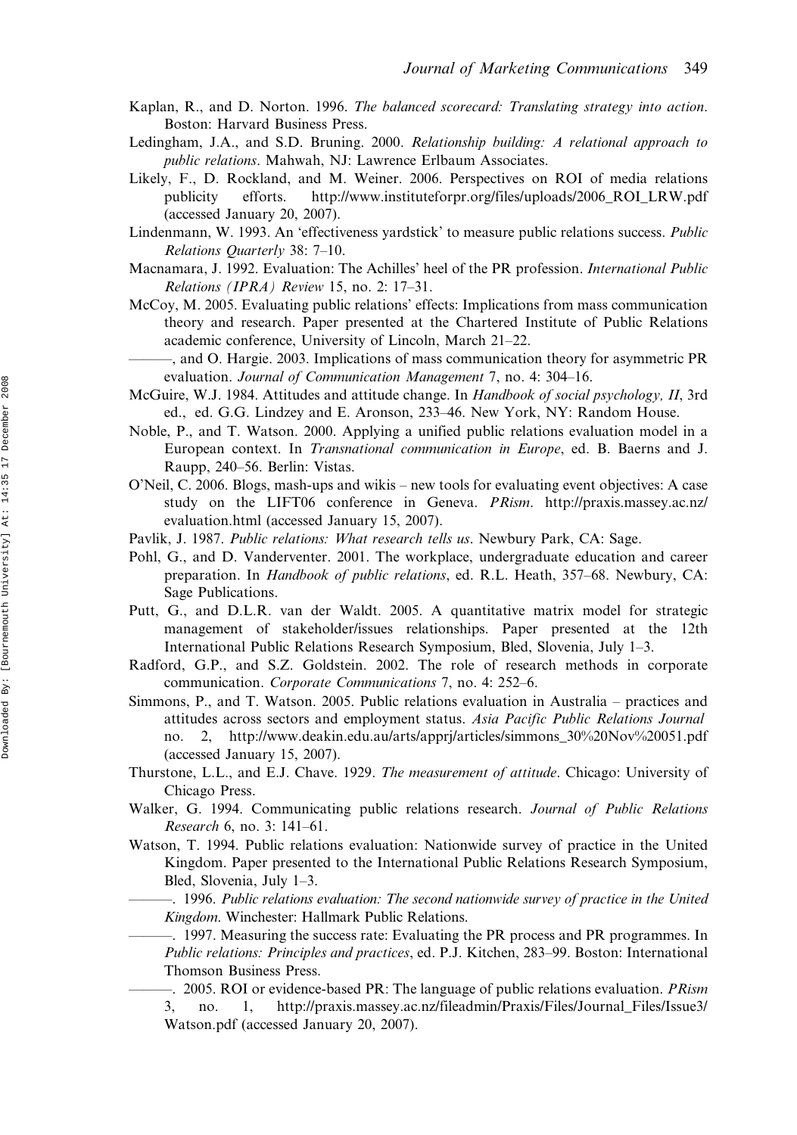- Kaplan, R., and D. Norton. 1996. The balanced scorecard: Translating strategy into action. Boston: Harvard Business Press.
- Ledingham, J.A., and S.D. Bruning. 2000. Relationship building: A relational approach to public relations. Mahwah, NJ: Lawrence Erlbaum Associates.
- Likely, F., D. Rockland, and M. Weiner. 2006. Perspectives on ROI of media relations publicity efforts. http://www.instituteforpr.org/files/uploads/2006\_ROI\_LRW.pdf (accessed January 20, 2007).
- Lindenmann, W. 1993. An 'effectiveness yardstick' to measure public relations success. Public Relations Quarterly 38: 7–10.
- Macnamara, J. 1992. Evaluation: The Achilles' heel of the PR profession. International Public Relations (IPRA) Review 15, no. 2: 17–31.
- McCoy, M. 2005. Evaluating public relations' effects: Implications from mass communication theory and research. Paper presented at the Chartered Institute of Public Relations academic conference, University of Lincoln, March 21–22.
- ———, and O. Hargie. 2003. Implications of mass communication theory for asymmetric PR evaluation. Journal of Communication Management 7, no. 4: 304–16.
- McGuire, W.J. 1984. Attitudes and attitude change. In Handbook of social psychology, II, 3rd ed., ed. G.G. Lindzey and E. Aronson, 233–46. New York, NY: Random House.
- Noble, P., and T. Watson. 2000. Applying a unified public relations evaluation model in a European context. In Transnational communication in Europe, ed. B. Baerns and J. Raupp, 240–56. Berlin: Vistas.
- O'Neil, C. 2006. Blogs, mash-ups and wikis new tools for evaluating event objectives: A case study on the LIFT06 conference in Geneva. PRism. http://praxis.massey.ac.nz/ evaluation.html (accessed January 15, 2007).
- Pavlik, J. 1987. Public relations: What research tells us. Newbury Park, CA: Sage.
- Pohl, G., and D. Vanderventer. 2001. The workplace, undergraduate education and career preparation. In Handbook of public relations, ed. R.L. Heath, 357–68. Newbury, CA: Sage Publications.
- Putt, G., and D.L.R. van der Waldt. 2005. A quantitative matrix model for strategic management of stakeholder/issues relationships. Paper presented at the 12th International Public Relations Research Symposium, Bled, Slovenia, July 1–3.
- Radford, G.P., and S.Z. Goldstein. 2002. The role of research methods in corporate communication. Corporate Communications 7, no. 4: 252–6.
- Simmons, P., and T. Watson. 2005. Public relations evaluation in Australia practices and attitudes across sectors and employment status. Asia Pacific Public Relations Journal no. 2, http://www.deakin.edu.au/arts/apprj/articles/simmons\_30%20Nov%20051.pdf (accessed January 15, 2007).
- Thurstone, L.L., and E.J. Chave. 1929. The measurement of attitude. Chicago: University of Chicago Press.
- Walker, G. 1994. Communicating public relations research. Journal of Public Relations Research 6, no. 3: 141–61.
- Watson, T. 1994. Public relations evaluation: Nationwide survey of practice in the United Kingdom. Paper presented to the International Public Relations Research Symposium, Bled, Slovenia, July 1–3.
	- ———. 1996. Public relations evaluation: The second nationwide survey of practice in the United Kingdom. Winchester: Hallmark Public Relations.
		- ———. 1997. Measuring the success rate: Evaluating the PR process and PR programmes. In Public relations: Principles and practices, ed. P.J. Kitchen, 283–99. Boston: International Thomson Business Press.
		- —. 2005. ROI or evidence-based PR: The language of public relations evaluation. *PRism* 3, no. 1, http://praxis.massey.ac.nz/fileadmin/Praxis/Files/Journal\_Files/Issue3/ Watson.pdf (accessed January 20, 2007).